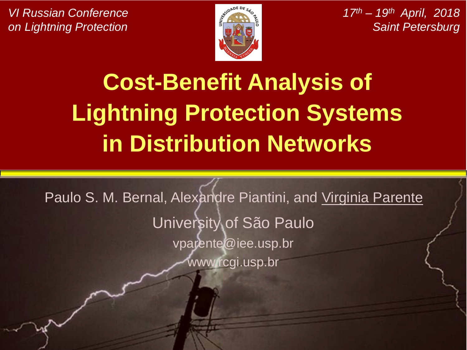*VI Russian Conference on Lightning Protection*



*17th – 19th April, 2018 Saint Petersburg*

# **Cost-Benefit Analysis of Lightning Protection Systems in Distribution Networks**

Paulo S. M. Bernal, Alexandre Piantini, and Virginia Parente University of São Paulo vparente@iee.usp.br www.rcgi.usp.br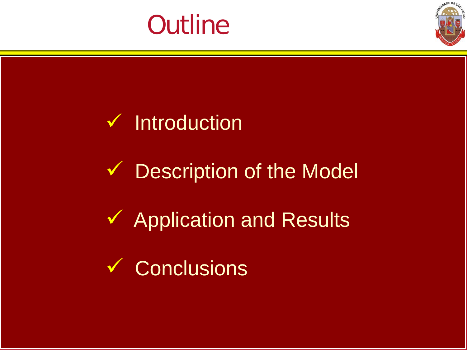



**V** Description of the Model

**✓ Application and Results** 

**↓ Conclusions**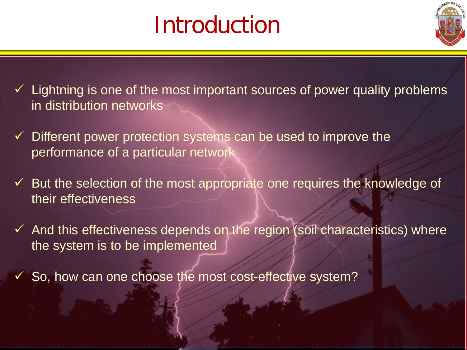## Introduction



 $\checkmark$  Lightning is one of the most important sources of power quality problems in distribution networks

- $\checkmark$  Different power protection systems can be used to improve the performance of a particular network
- $\checkmark$  But the selection of the most appropriate one requires the knowledge of their effectiveness
- $\checkmark$  And this effectiveness depends on the region (soil characteristics) where the system is to be implemented
- $\checkmark$  So, how can one choose the most cost-effective system?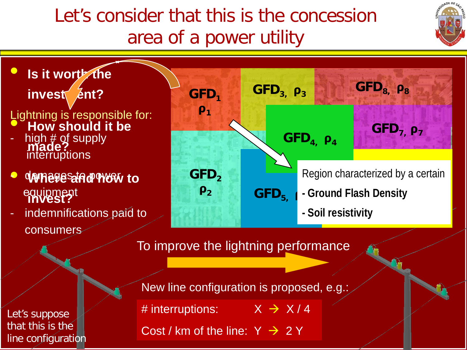## Let's consider that this is the concession area of a power utility





Let's suppose that this is the line configuration New line configuration is proposed, e.g.: # interruptions:  $X \rightarrow X/4$ 

Cost / km of the line:  $Y \rightarrow 2Y$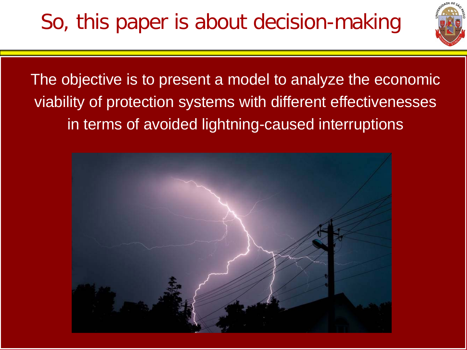

The objective is to present a model to analyze the economic viability of protection systems with different effectivenesses in terms of avoided lightning-caused interruptions

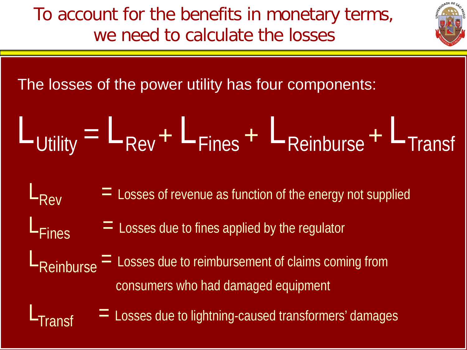To account for the benefits in monetary terms, we need to calculate the losses

The losses of the power utility has four components:

$$
L_{\text{Utility}} = L_{\text{Rev}} + L_{\text{Fines}} + L_{\text{Reinburse}} + L_{\text{Transf}}
$$

 $L_{\text{Rev}}$  = Losses of revenue as function of the energy not supplied<br> $L_{\text{Fines}}$  = Losses due to fines applied by the regulator

 $\epsilon =$  Losses due to fines applied by the regulator

 $L_{\text{Reinburse}} =$  Losses due to reimbursement of claims coming from consumers who had damaged equipment

 $\Gamma$  Losses due to lightning-caused transformers' damages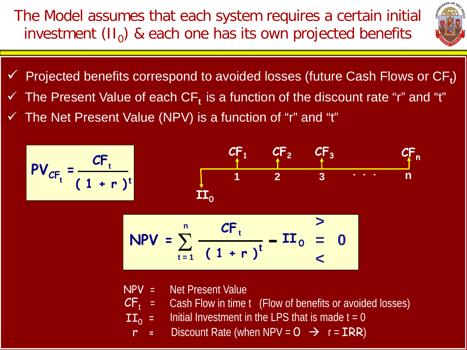The Model assumes that each system requires a certain initial investment  $(II_0)$  & each one has its own projected benefits



- $\checkmark$  Projected benefits correspond to avoided losses (future Cash Flows or  $CF_t$ )
- The Present Value of each CF<sub>t</sub> is a function of the discount rate "r" and "t"
- $\checkmark$  The Net Present Value (NPV) is a function of "r" and "t"

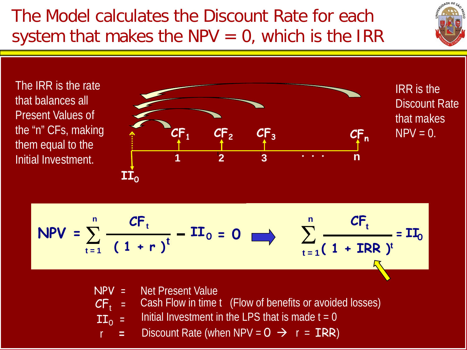### The Model calculates the Discount Rate for each system that makes the NPV  $= 0$ , which is the IRR



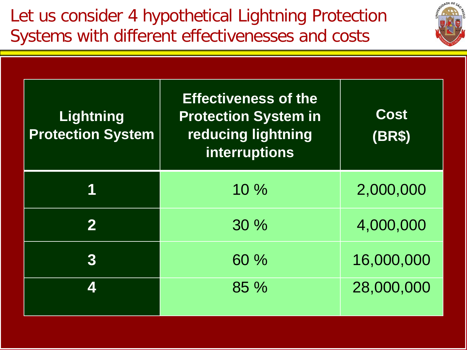

| Lightning<br><b>Protection System</b> | <b>Effectiveness of the</b><br><b>Protection System in</b><br>reducing lightning<br>interruptions | <b>Cost</b><br><b>(BR\$)</b> |
|---------------------------------------|---------------------------------------------------------------------------------------------------|------------------------------|
|                                       | $10\%$                                                                                            | 2,000,000                    |
|                                       | 30%                                                                                               | 4,000,000                    |
| 3                                     | 60 %                                                                                              | 16,000,000                   |
| $\boldsymbol{\varLambda}$             | 85 %                                                                                              | 28,000,000                   |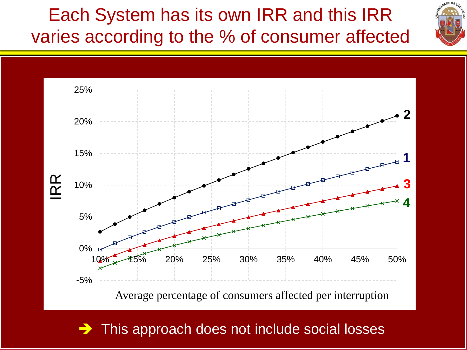Each System has its own IRR and this IRR varies according to the % of consumer affected





 $\rightarrow$  This approach does not include social losses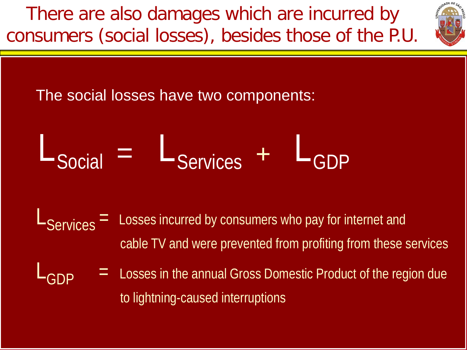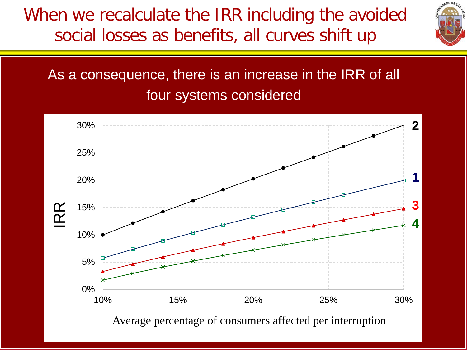When we recalculate the IRR including the avoided social losses as benefits, all curves shift up



#### As a consequence, there is an increase in the IRR of all four systems considered

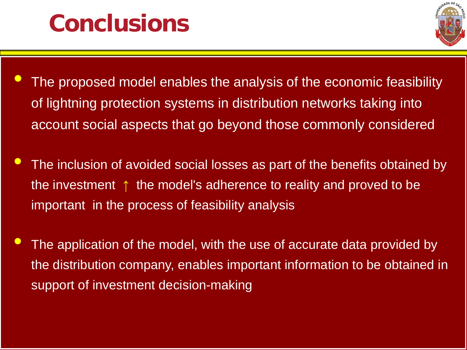## **Conclusions**



- The proposed model enables the analysis of the economic feasibility of lightning protection systems in distribution networks taking into account social aspects that go beyond those commonly considered
- The inclusion of avoided social losses as part of the benefits obtained by the investment ↑ the model's adherence to reality and proved to be important in the process of feasibility analysis
- The application of the model, with the use of accurate data provided by the distribution company, enables important information to be obtained in support of investment decision-making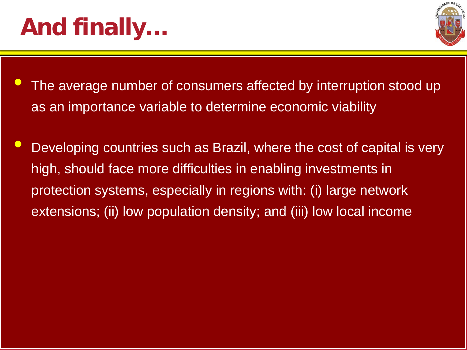# **And finally…**



- The average number of consumers affected by interruption stood up as an importance variable to determine economic viability
- Developing countries such as Brazil, where the cost of capital is very high, should face more difficulties in enabling investments in protection systems, especially in regions with: (i) large network extensions; (ii) low population density; and (iii) low local income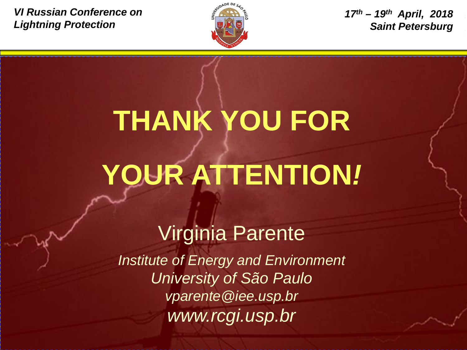*VI Russian Conference on Lightning Protection*



*17th – 19th April, 2018 Saint Petersburg*

# **THANK YOU FOR YOUR ATTENTION***!*

## Virginia Parente

*Institute of Energy and Environment University of São Paulo vparente@iee.usp.br www.rcgi.usp.br*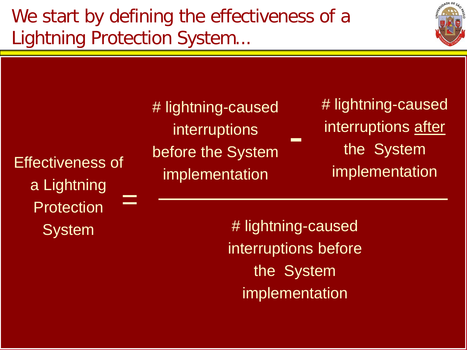We start by defining the effectiveness of a Lightning Protection System...



Effectiveness of a Lightning **Protection System** = # lightning-caused interruptions before the System implementation - # lightning-caused interruptions after the System implementation

# lightning-caused interruptions before the System implementation